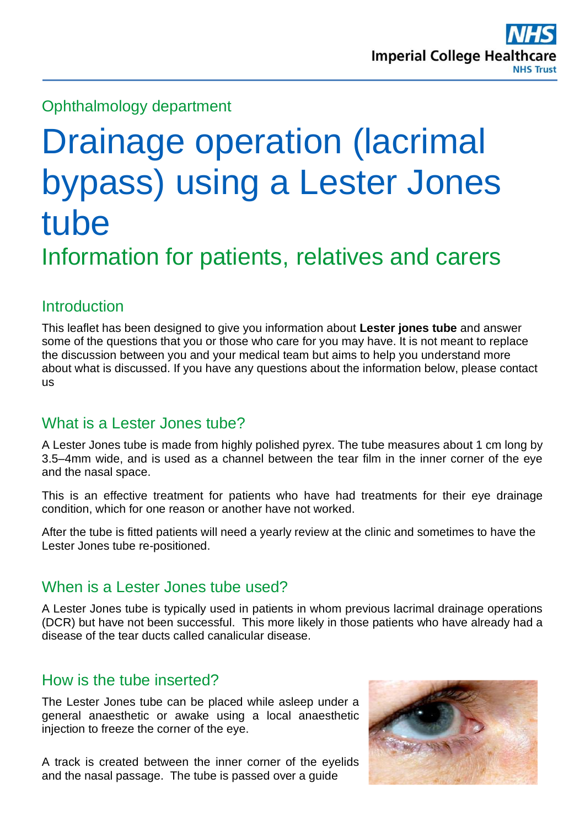# Ophthalmology department

# Drainage operation (lacrimal bypass) using a Lester Jones tube Information for patients, relatives and carers

# **Introduction**

This leaflet has been designed to give you information about **Lester jones tube** and answer some of the questions that you or those who care for you may have. It is not meant to replace the discussion between you and your medical team but aims to help you understand more about what is discussed. If you have any questions about the information below, please contact us

## What is a Lester Jones tube?

A Lester Jones tube is made from highly polished pyrex. The tube measures about 1 cm long by 3.5–4mm wide, and is used as a channel between the tear film in the inner corner of the eye and the nasal space.

This is an effective treatment for patients who have had treatments for their eye drainage condition, which for one reason or another have not worked.

After the tube is fitted patients will need a yearly review at the clinic and sometimes to have the Lester Jones tube re-positioned.

## When is a Lester Jones tube used?

A Lester Jones tube is typically used in patients in whom previous lacrimal drainage operations (DCR) but have not been successful. This more likely in those patients who have already had a disease of the tear ducts called canalicular disease.

## How is the tube inserted?

The Lester Jones tube can be placed while asleep under a general anaesthetic or awake using a local anaesthetic injection to freeze the corner of the eye.

A track is created between the inner corner of the eyelids and the nasal passage. The tube is passed over a guide

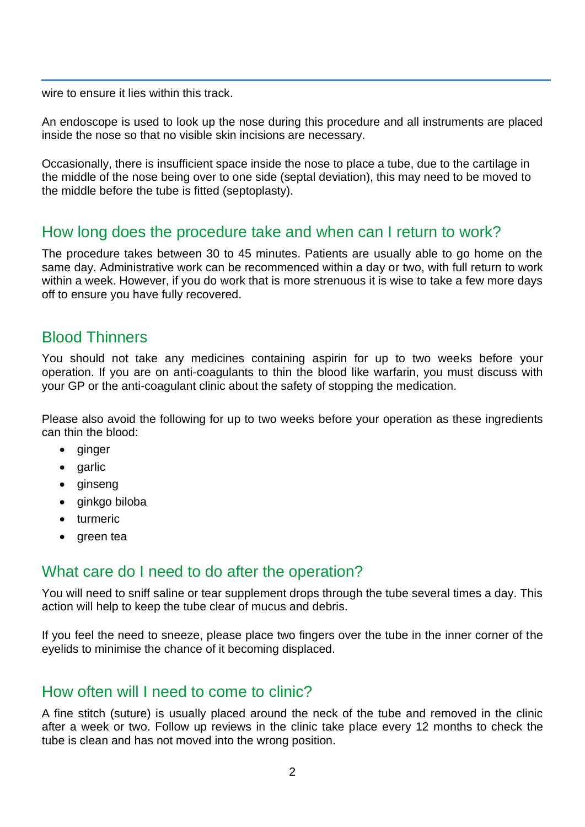wire to ensure it lies within this track.

An endoscope is used to look up the nose during this procedure and all instruments are placed inside the nose so that no visible skin incisions are necessary.

Occasionally, there is insufficient space inside the nose to place a tube, due to the cartilage in the middle of the nose being over to one side (septal deviation), this may need to be moved to the middle before the tube is fitted (septoplasty).

#### How long does the procedure take and when can I return to work?

The procedure takes between 30 to 45 minutes. Patients are usually able to go home on the same day. Administrative work can be recommenced within a day or two, with full return to work within a week. However, if you do work that is more strenuous it is wise to take a few more days off to ensure you have fully recovered.

#### Blood Thinners

You should not take any medicines containing aspirin for up to two weeks before your operation. If you are on anti-coagulants to thin the blood like warfarin, you must discuss with your GP or the anti-coagulant clinic about the safety of stopping the medication.

Please also avoid the following for up to two weeks before your operation as these ingredients can thin the blood:

- ginger
- garlic
- ginseng
- ginkgo biloba
- turmeric
- green tea

#### What care do I need to do after the operation?

You will need to sniff saline or tear supplement drops through the tube several times a day. This action will help to keep the tube clear of mucus and debris.

If you feel the need to sneeze, please place two fingers over the tube in the inner corner of the eyelids to minimise the chance of it becoming displaced.

#### How often will I need to come to clinic?

A fine stitch (suture) is usually placed around the neck of the tube and removed in the clinic after a week or two. Follow up reviews in the clinic take place every 12 months to check the tube is clean and has not moved into the wrong position.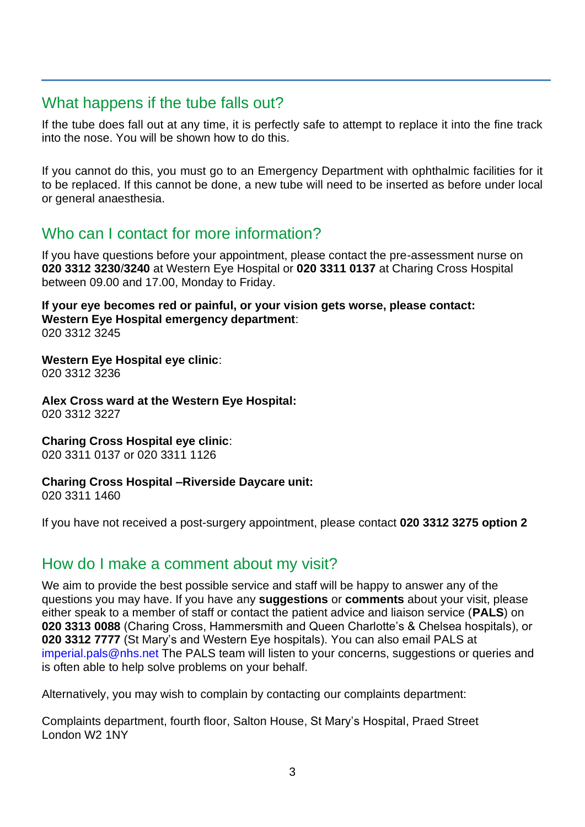## What happens if the tube falls out?

If the tube does fall out at any time, it is perfectly safe to attempt to replace it into the fine track into the nose. You will be shown how to do this.

If you cannot do this, you must go to an Emergency Department with ophthalmic facilities for it to be replaced. If this cannot be done, a new tube will need to be inserted as before under local or general anaesthesia.

## Who can I contact for more information?

If you have questions before your appointment, please contact the pre-assessment nurse on **020 3312 3230**/**3240** at Western Eye Hospital or **020 3311 0137** at Charing Cross Hospital between 09.00 and 17.00, Monday to Friday.

**If your eye becomes red or painful, or your vision gets worse, please contact: Western Eye Hospital emergency department**: 020 3312 3245

**Western Eye Hospital eye clinic**: 020 3312 3236

**Alex Cross ward at the Western Eye Hospital:** 020 3312 3227

**Charing Cross Hospital eye clinic**: 020 3311 0137 or 020 3311 1126

**Charing Cross Hospital –Riverside Daycare unit:**

020 3311 1460

If you have not received a post-surgery appointment, please contact **020 3312 3275 option 2**

## How do I make a comment about my visit?

We aim to provide the best possible service and staff will be happy to answer any of the questions you may have. If you have any **suggestions** or **comments** about your visit, please either speak to a member of staff or contact the patient advice and liaison service (**PALS**) on **020 3313 0088** (Charing Cross, Hammersmith and Queen Charlotte's & Chelsea hospitals), or **020 3312 7777** (St Mary's and Western Eye hospitals). You can also email PALS at [imperial.pals@nhs.net](mailto:imperial.pals@nhs.net) The PALS team will listen to your concerns, suggestions or queries and is often able to help solve problems on your behalf.

Alternatively, you may wish to complain by contacting our complaints department:

Complaints department, fourth floor, Salton House, St Mary's Hospital, Praed Street London W2 1NY